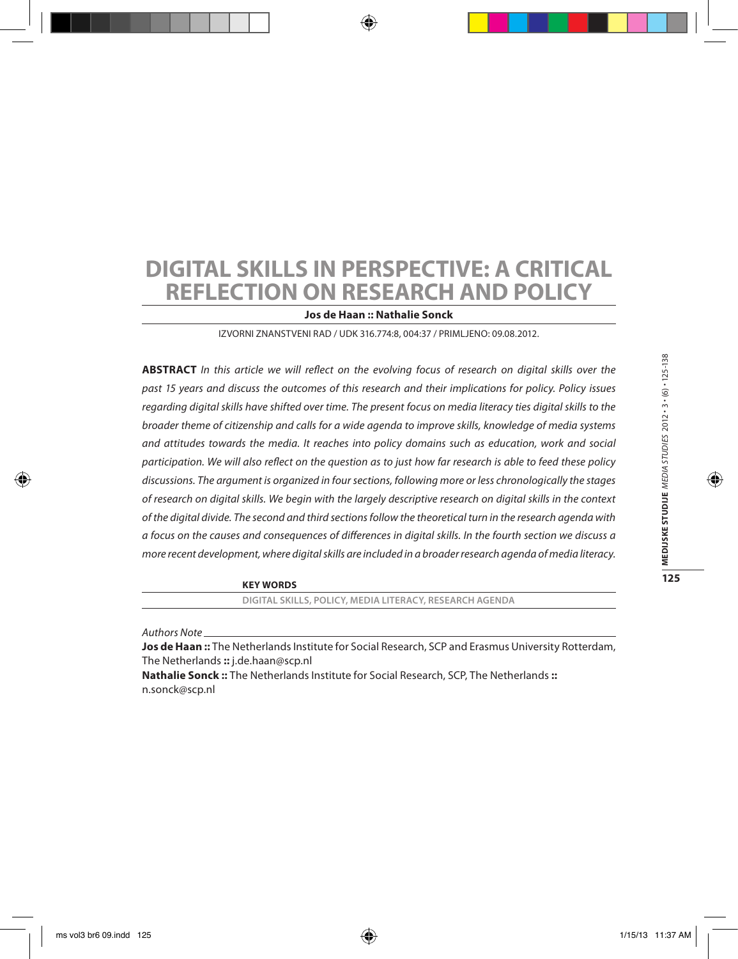# **Digital skills in perspective: a critical reflection on research and policy**

**Jos de Haan :: Nathalie Sonck**

Izvorni znanstveni rad / UDK 316.774:8, 004:37 / Primljeno: 09.08.2012.

**ABSTRACT** *In this article we will reflect on the evolving focus of research on digital skills over the past 15 years and discuss the outcomes of this research and their implications for policy. Policy issues regarding digital skills have shifted over time. The present focus on media literacy ties digital skills to the broader theme of citizenship and calls for a wide agenda to improve skills, knowledge of media systems and attitudes towards the media. It reaches into policy domains such as education, work and social participation. We will also reflect on the question as to just how far research is able to feed these policy discussions. The argument is organized in four sections, following more or less chronologically the stages of research on digital skills. We begin with the largely descriptive research on digital skills in the context of the digital divide. The second and third sections follow the theoretical turn in the research agenda with a focus on the causes and consequences of differences in digital skills. In the fourth section we discuss a more recent development, where digital skills are included in a broader research agenda of media literacy.*

**Key words**

**digital skills, policy, media literacy, research agenda**

*Authors Note*

**Jos de Haan ::** The Netherlands Institute for Social Research, SCP and Erasmus University Rotterdam, The Netherlands **::** j.de.haan@scp.nl

**Nathalie Sonck ::** The Netherlands Institute for Social Research, SCP, The Netherlands **::** n.sonck@scp.nl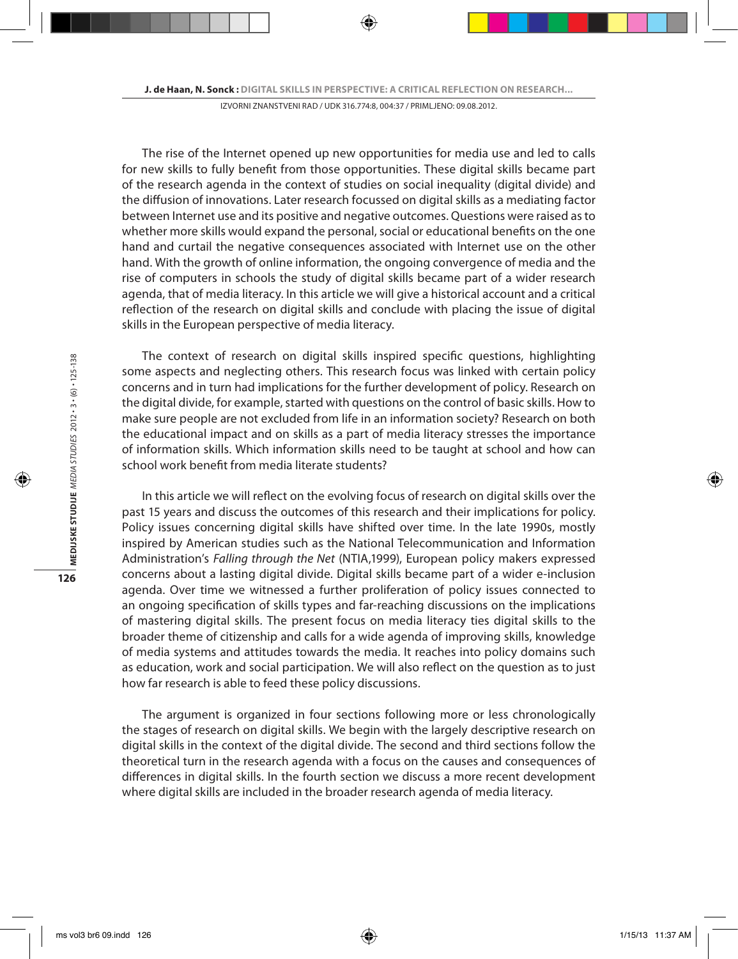The rise of the Internet opened up new opportunities for media use and led to calls for new skills to fully benefit from those opportunities. These digital skills became part of the research agenda in the context of studies on social inequality (digital divide) and the diffusion of innovations. Later research focussed on digital skills as a mediating factor between Internet use and its positive and negative outcomes. Questions were raised as to whether more skills would expand the personal, social or educational benefits on the one hand and curtail the negative consequences associated with Internet use on the other hand. With the growth of online information, the ongoing convergence of media and the rise of computers in schools the study of digital skills became part of a wider research agenda, that of media literacy. In this article we will give a historical account and a critical reflection of the research on digital skills and conclude with placing the issue of digital skills in the European perspective of media literacy.

The context of research on digital skills inspired specific questions, highlighting some aspects and neglecting others. This research focus was linked with certain policy concerns and in turn had implications for the further development of policy. Research on the digital divide, for example, started with questions on the control of basic skills. How to make sure people are not excluded from life in an information society? Research on both the educational impact and on skills as a part of media literacy stresses the importance of information skills. Which information skills need to be taught at school and how can school work benefit from media literate students?

In this article we will reflect on the evolving focus of research on digital skills over the past 15 years and discuss the outcomes of this research and their implications for policy. Policy issues concerning digital skills have shifted over time. In the late 1990s, mostly inspired by American studies such as the National Telecommunication and Information Administration's *Falling through the Net* (NTIA,1999), European policy makers expressed concerns about a lasting digital divide. Digital skills became part of a wider e-inclusion agenda. Over time we witnessed a further proliferation of policy issues connected to an ongoing specification of skills types and far-reaching discussions on the implications of mastering digital skills. The present focus on media literacy ties digital skills to the broader theme of citizenship and calls for a wide agenda of improving skills, knowledge of media systems and attitudes towards the media. It reaches into policy domains such as education, work and social participation. We will also reflect on the question as to just how far research is able to feed these policy discussions.

The argument is organized in four sections following more or less chronologically the stages of research on digital skills. We begin with the largely descriptive research on digital skills in the context of the digital divide. The second and third sections follow the theoretical turn in the research agenda with a focus on the causes and consequences of differences in digital skills. In the fourth section we discuss a more recent development where digital skills are included in the broader research agenda of media literacy.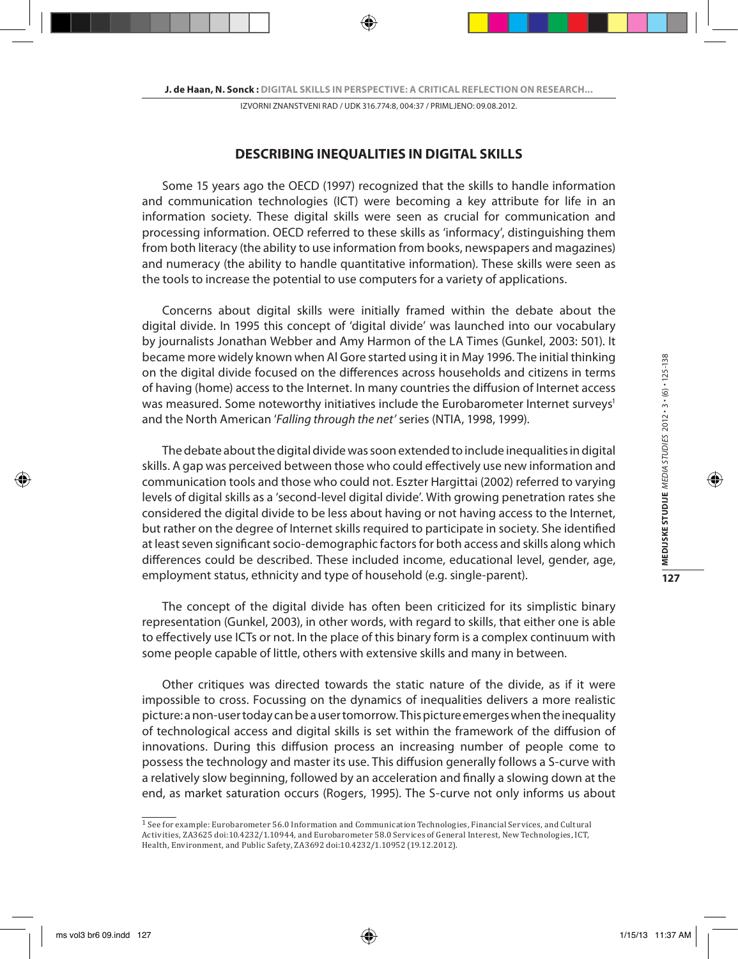### **DESCRIBING INEQUALITIES IN DIGITAL SKILLS**

Some 15 years ago the OECD (1997) recognized that the skills to handle information and communication technologies (ICT) were becoming a key attribute for life in an information society. These digital skills were seen as crucial for communication and processing information. OECD referred to these skills as 'informacy', distinguishing them from both literacy (the ability to use information from books, newspapers and magazines) and numeracy (the ability to handle quantitative information). These skills were seen as the tools to increase the potential to use computers for a variety of applications.

Concerns about digital skills were initially framed within the debate about the digital divide. In 1995 this concept of 'digital divide' was launched into our vocabulary by journalists Jonathan Webber and Amy Harmon of the LA Times (Gunkel, 2003: 501). It became more widely known when Al Gore started using it in May 1996. The initial thinking on the digital divide focused on the differences across households and citizens in terms of having (home) access to the Internet. In many countries the diffusion of Internet access was measured. Some noteworthy initiatives include the Eurobarometer Internet surveys<sup>1</sup> and the North American '*Falling through the net'* series (NTIA, 1998, 1999).

The debate about the digital divide was soon extended to include inequalities in digital skills. A gap was perceived between those who could effectively use new information and communication tools and those who could not. Eszter Hargittai (2002) referred to varying levels of digital skills as a 'second-level digital divide'. With growing penetration rates she considered the digital divide to be less about having or not having access to the Internet, but rather on the degree of Internet skills required to participate in society. She identified at least seven significant socio-demographic factors for both access and skills along which differences could be described. These included income, educational level, gender, age, employment status, ethnicity and type of household (e.g. single-parent).

The concept of the digital divide has often been criticized for its simplistic binary representation (Gunkel, 2003), in other words, with regard to skills, that either one is able to effectively use ICTs or not. In the place of this binary form is a complex continuum with some people capable of little, others with extensive skills and many in between.

Other critiques was directed towards the static nature of the divide, as if it were impossible to cross. Focussing on the dynamics of inequalities delivers a more realistic picture: a non-user today can be a user tomorrow. This picture emerges when the inequality of technological access and digital skills is set within the framework of the diffusion of innovations. During this diffusion process an increasing number of people come to possess the technology and master its use. This diffusion generally follows a S-curve with a relatively slow beginning, followed by an acceleration and finally a slowing down at the end, as market saturation occurs (Rogers, 1995). The S-curve not only informs us about

 $\frac{1}{1}$  See for example: Eurobarometer 56.0 Information and Communication Technologies, Financial Services, and Cultural Activities, ZA3625 doi:10.4232/1.10944, and Eurobarometer 58.0 Services of General Interest, New Technologies, ICT, Health, Environment, and Public Safety, ZA3692 doi:10.4232/1.10952 (19.12.2012).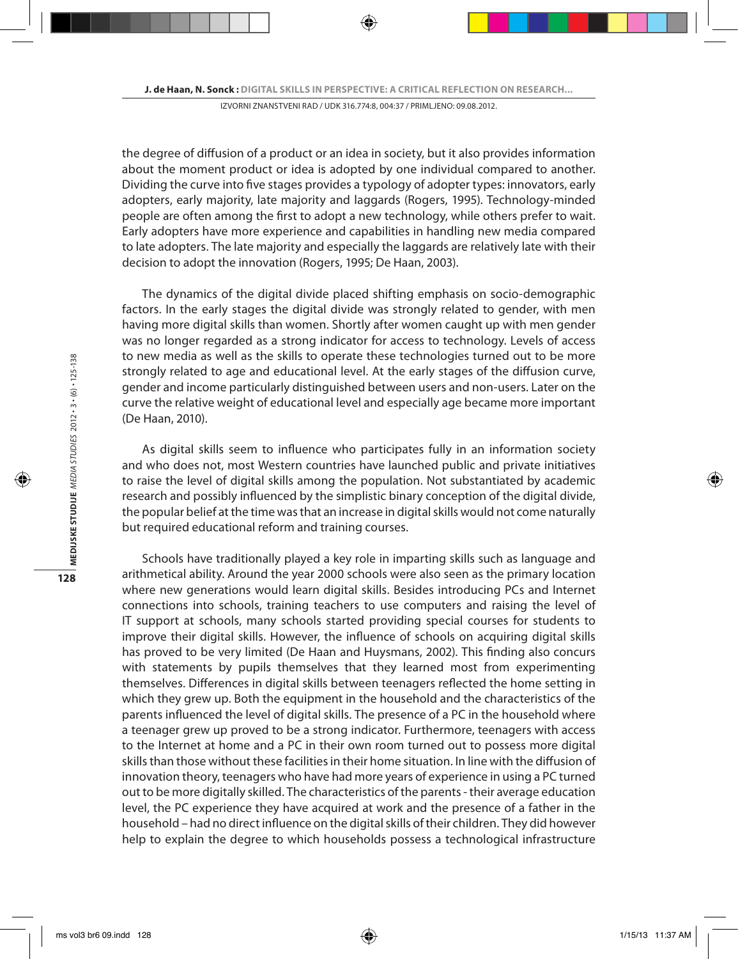the degree of diffusion of a product or an idea in society, but it also provides information about the moment product or idea is adopted by one individual compared to another. Dividing the curve into five stages provides a typology of adopter types: innovators, early adopters, early majority, late majority and laggards (Rogers, 1995). Technology-minded people are often among the first to adopt a new technology, while others prefer to wait. Early adopters have more experience and capabilities in handling new media compared to late adopters. The late majority and especially the laggards are relatively late with their decision to adopt the innovation (Rogers, 1995; De Haan, 2003).

The dynamics of the digital divide placed shifting emphasis on socio-demographic factors. In the early stages the digital divide was strongly related to gender, with men having more digital skills than women. Shortly after women caught up with men gender was no longer regarded as a strong indicator for access to technology. Levels of access to new media as well as the skills to operate these technologies turned out to be more strongly related to age and educational level. At the early stages of the diffusion curve, gender and income particularly distinguished between users and non-users. Later on the curve the relative weight of educational level and especially age became more important (De Haan, 2010).

As digital skills seem to influence who participates fully in an information society and who does not, most Western countries have launched public and private initiatives to raise the level of digital skills among the population. Not substantiated by academic research and possibly influenced by the simplistic binary conception of the digital divide, the popular belief at the time was that an increase in digital skills would not come naturally but required educational reform and training courses.

Schools have traditionally played a key role in imparting skills such as language and arithmetical ability. Around the year 2000 schools were also seen as the primary location where new generations would learn digital skills. Besides introducing PCs and Internet connections into schools, training teachers to use computers and raising the level of IT support at schools, many schools started providing special courses for students to improve their digital skills. However, the influence of schools on acquiring digital skills has proved to be very limited (De Haan and Huysmans, 2002). This finding also concurs with statements by pupils themselves that they learned most from experimenting themselves. Differences in digital skills between teenagers reflected the home setting in which they grew up. Both the equipment in the household and the characteristics of the parents influenced the level of digital skills. The presence of a PC in the household where a teenager grew up proved to be a strong indicator. Furthermore, teenagers with access to the Internet at home and a PC in their own room turned out to possess more digital skills than those without these facilities in their home situation. In line with the diffusion of innovation theory, teenagers who have had more years of experience in using a PC turned out to be more digitally skilled. The characteristics of the parents - their average education level, the PC experience they have acquired at work and the presence of a father in the household – had no direct influence on the digital skills of their children. They did however help to explain the degree to which households possess a technological infrastructure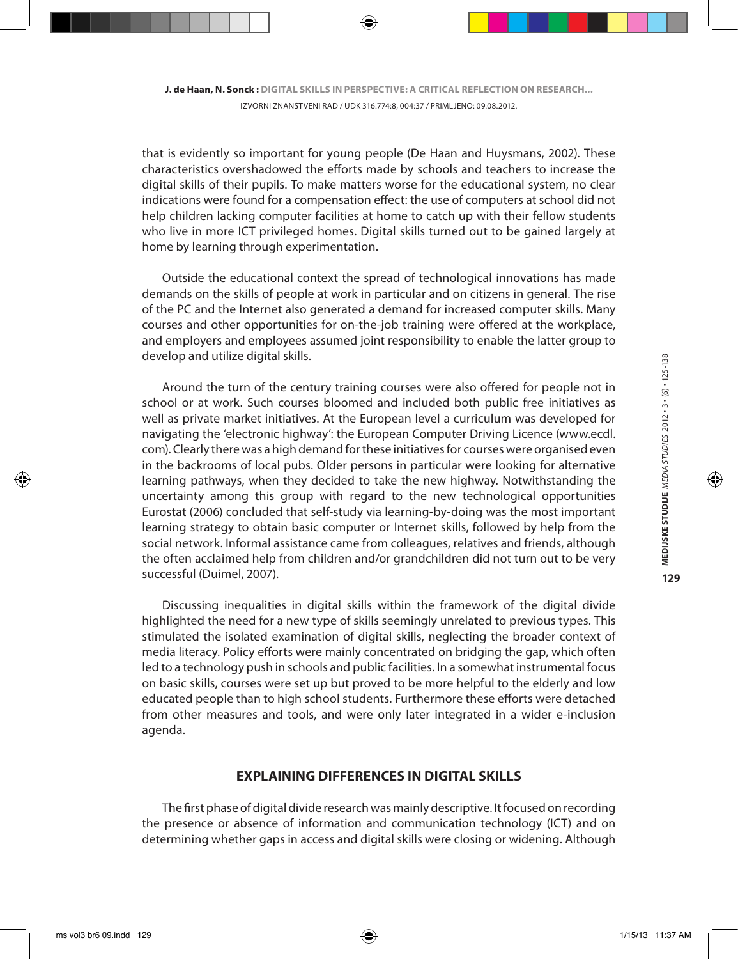that is evidently so important for young people (De Haan and Huysmans, 2002). These characteristics overshadowed the efforts made by schools and teachers to increase the digital skills of their pupils. To make matters worse for the educational system, no clear indications were found for a compensation effect: the use of computers at school did not help children lacking computer facilities at home to catch up with their fellow students who live in more ICT privileged homes. Digital skills turned out to be gained largely at home by learning through experimentation.

Outside the educational context the spread of technological innovations has made demands on the skills of people at work in particular and on citizens in general. The rise of the PC and the Internet also generated a demand for increased computer skills. Many courses and other opportunities for on-the-job training were offered at the workplace, and employers and employees assumed joint responsibility to enable the latter group to develop and utilize digital skills.

Around the turn of the century training courses were also offered for people not in school or at work. Such courses bloomed and included both public free initiatives as well as private market initiatives. At the European level a curriculum was developed for navigating the 'electronic highway': the European Computer Driving Licence (www.ecdl. com). Clearly there was a high demand for these initiatives for courses were organised even in the backrooms of local pubs. Older persons in particular were looking for alternative learning pathways, when they decided to take the new highway. Notwithstanding the uncertainty among this group with regard to the new technological opportunities Eurostat (2006) concluded that self-study via learning-by-doing was the most important learning strategy to obtain basic computer or Internet skills, followed by help from the social network. Informal assistance came from colleagues, relatives and friends, although the often acclaimed help from children and/or grandchildren did not turn out to be very successful (Duimel, 2007).

Discussing inequalities in digital skills within the framework of the digital divide highlighted the need for a new type of skills seemingly unrelated to previous types. This stimulated the isolated examination of digital skills, neglecting the broader context of media literacy. Policy efforts were mainly concentrated on bridging the gap, which often led to a technology push in schools and public facilities. In a somewhat instrumental focus on basic skills, courses were set up but proved to be more helpful to the elderly and low educated people than to high school students. Furthermore these efforts were detached from other measures and tools, and were only later integrated in a wider e-inclusion agenda.

### **EXPLAINING DIFFERENCES IN DIGITAL SKILLS**

The first phase of digital divide research was mainly descriptive. It focused on recording the presence or absence of information and communication technology (ICT) and on determining whether gaps in access and digital skills were closing or widening. Although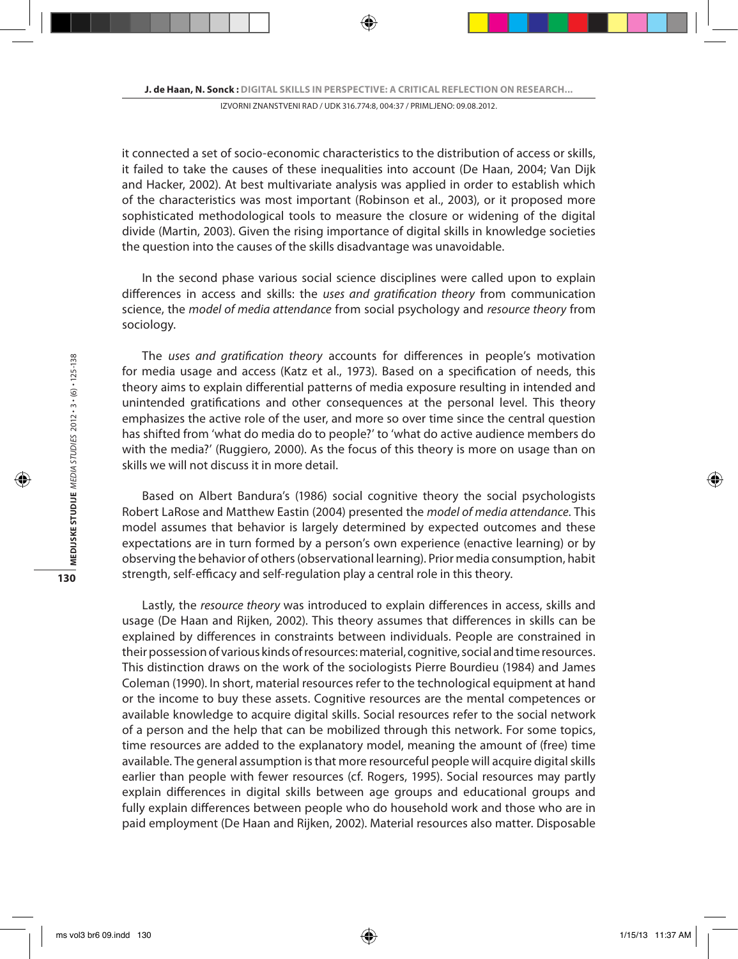it connected a set of socio-economic characteristics to the distribution of access or skills, it failed to take the causes of these inequalities into account (De Haan, 2004; Van Dijk and Hacker, 2002). At best multivariate analysis was applied in order to establish which of the characteristics was most important (Robinson et al., 2003), or it proposed more sophisticated methodological tools to measure the closure or widening of the digital divide (Martin, 2003). Given the rising importance of digital skills in knowledge societies the question into the causes of the skills disadvantage was unavoidable.

In the second phase various social science disciplines were called upon to explain differences in access and skills: the *uses and gratification theory* from communication science, the *model of media attendance* from social psychology and *resource theory* from sociology.

The *uses and gratification theory* accounts for differences in people's motivation for media usage and access (Katz et al., 1973). Based on a specification of needs, this theory aims to explain differential patterns of media exposure resulting in intended and unintended gratifications and other consequences at the personal level. This theory emphasizes the active role of the user, and more so over time since the central question has shifted from 'what do media do to people?' to 'what do active audience members do with the media?' (Ruggiero, 2000). As the focus of this theory is more on usage than on skills we will not discuss it in more detail.

Based on Albert Bandura's (1986) social cognitive theory the social psychologists Robert LaRose and Matthew Eastin (2004) presented the *model of media attendance*. This model assumes that behavior is largely determined by expected outcomes and these expectations are in turn formed by a person's own experience (enactive learning) or by observing the behavior of others (observational learning). Prior media consumption, habit strength, self-efficacy and self-regulation play a central role in this theory.

Lastly, the *resource theory* was introduced to explain differences in access, skills and usage (De Haan and Rijken, 2002). This theory assumes that differences in skills can be explained by differences in constraints between individuals. People are constrained in their possession of various kinds of resources: material, cognitive, social and time resources. This distinction draws on the work of the sociologists Pierre Bourdieu (1984) and James Coleman (1990). In short, material resources refer to the technological equipment at hand or the income to buy these assets. Cognitive resources are the mental competences or available knowledge to acquire digital skills. Social resources refer to the social network of a person and the help that can be mobilized through this network. For some topics, time resources are added to the explanatory model, meaning the amount of (free) time available. The general assumption is that more resourceful people will acquire digital skills earlier than people with fewer resources (cf. Rogers, 1995). Social resources may partly explain differences in digital skills between age groups and educational groups and fully explain differences between people who do household work and those who are in paid employment (De Haan and Rijken, 2002). Material resources also matter. Disposable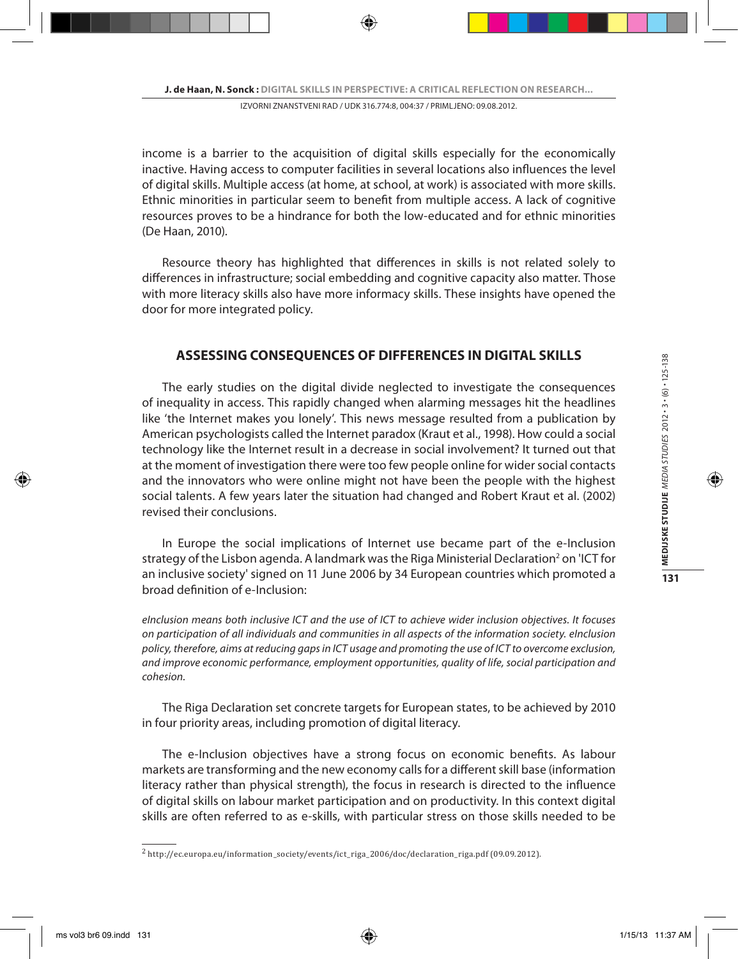income is a barrier to the acquisition of digital skills especially for the economically inactive. Having access to computer facilities in several locations also influences the level of digital skills. Multiple access (at home, at school, at work) is associated with more skills. Ethnic minorities in particular seem to benefit from multiple access. A lack of cognitive resources proves to be a hindrance for both the low-educated and for ethnic minorities (De Haan, 2010).

Resource theory has highlighted that differences in skills is not related solely to differences in infrastructure; social embedding and cognitive capacity also matter. Those with more literacy skills also have more informacy skills. These insights have opened the door for more integrated policy.

## **ASSESSING CONSEQUENCES OF DIFFERENCES IN DIGITAL SKILLS**

The early studies on the digital divide neglected to investigate the consequences of inequality in access. This rapidly changed when alarming messages hit the headlines like 'the Internet makes you lonely'. This news message resulted from a publication by American psychologists called the Internet paradox (Kraut et al., 1998). How could a social technology like the Internet result in a decrease in social involvement? It turned out that at the moment of investigation there were too few people online for wider social contacts and the innovators who were online might not have been the people with the highest social talents. A few years later the situation had changed and Robert Kraut et al. (2002) revised their conclusions.

In Europe the social implications of Internet use became part of the e-Inclusion strategy of the Lisbon agenda. A landmark was the Riga Ministerial Declaration<sup>2</sup> on 'ICT for an inclusive society' signed on 11 June 2006 by 34 European countries which promoted a broad definition of e-Inclusion:

*eInclusion means both inclusive ICT and the use of ICT to achieve wider inclusion objectives. It focuses on participation of all individuals and communities in all aspects of the information society. eInclusion policy, therefore, aims at reducing gaps in ICT usage and promoting the use of ICT to overcome exclusion, and improve economic performance, employment opportunities, quality of life, social participation and cohesion.*

The Riga Declaration set concrete targets for European states, to be achieved by 2010 in four priority areas, including promotion of digital literacy.

The e-Inclusion objectives have a strong focus on economic benefits. As labour markets are transforming and the new economy calls for a different skill base (information literacy rather than physical strength), the focus in research is directed to the influence of digital skills on labour market participation and on productivity. In this context digital skills are often referred to as e-skills, with particular stress on those skills needed to be

<sup>2</sup> http://ec.europa.eu/information\_society/events/ict\_riga\_2006/doc/declaration\_riga.pdf (09.09.2012).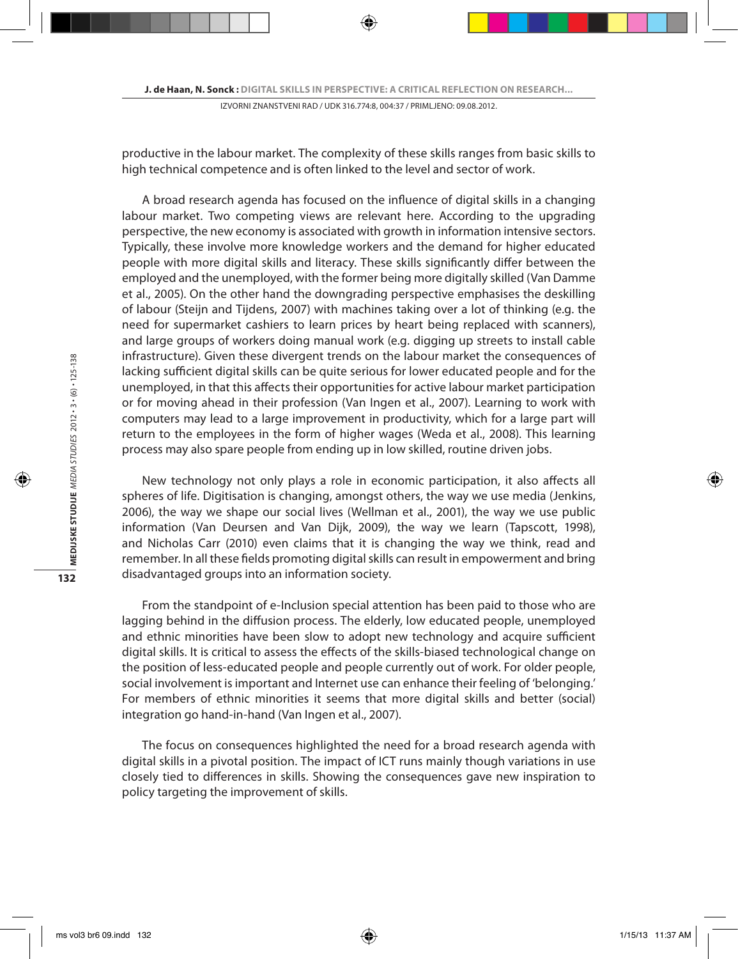productive in the labour market. The complexity of these skills ranges from basic skills to high technical competence and is often linked to the level and sector of work.

A broad research agenda has focused on the influence of digital skills in a changing labour market. Two competing views are relevant here. According to the upgrading perspective, the new economy is associated with growth in information intensive sectors. Typically, these involve more knowledge workers and the demand for higher educated people with more digital skills and literacy. These skills significantly differ between the employed and the unemployed, with the former being more digitally skilled (Van Damme et al., 2005). On the other hand the downgrading perspective emphasises the deskilling of labour (Steijn and Tijdens, 2007) with machines taking over a lot of thinking (e.g. the need for supermarket cashiers to learn prices by heart being replaced with scanners), and large groups of workers doing manual work (e.g. digging up streets to install cable infrastructure). Given these divergent trends on the labour market the consequences of lacking sufficient digital skills can be quite serious for lower educated people and for the unemployed, in that this affects their opportunities for active labour market participation or for moving ahead in their profession (Van Ingen et al., 2007). Learning to work with computers may lead to a large improvement in productivity, which for a large part will return to the employees in the form of higher wages (Weda et al., 2008). This learning process may also spare people from ending up in low skilled, routine driven jobs.

New technology not only plays a role in economic participation, it also affects all spheres of life. Digitisation is changing, amongst others, the way we use media (Jenkins, 2006), the way we shape our social lives (Wellman et al., 2001), the way we use public information (Van Deursen and Van Dijk, 2009), the way we learn (Tapscott, 1998), and Nicholas Carr (2010) even claims that it is changing the way we think, read and remember. In all these fields promoting digital skills can result in empowerment and bring disadvantaged groups into an information society.

From the standpoint of e-Inclusion special attention has been paid to those who are lagging behind in the diffusion process. The elderly, low educated people, unemployed and ethnic minorities have been slow to adopt new technology and acquire sufficient digital skills. It is critical to assess the effects of the skills-biased technological change on the position of less-educated people and people currently out of work. For older people, social involvement is important and Internet use can enhance their feeling of 'belonging.' For members of ethnic minorities it seems that more digital skills and better (social) integration go hand-in-hand (Van Ingen et al., 2007).

The focus on consequences highlighted the need for a broad research agenda with digital skills in a pivotal position. The impact of ICT runs mainly though variations in use closely tied to differences in skills. Showing the consequences gave new inspiration to policy targeting the improvement of skills.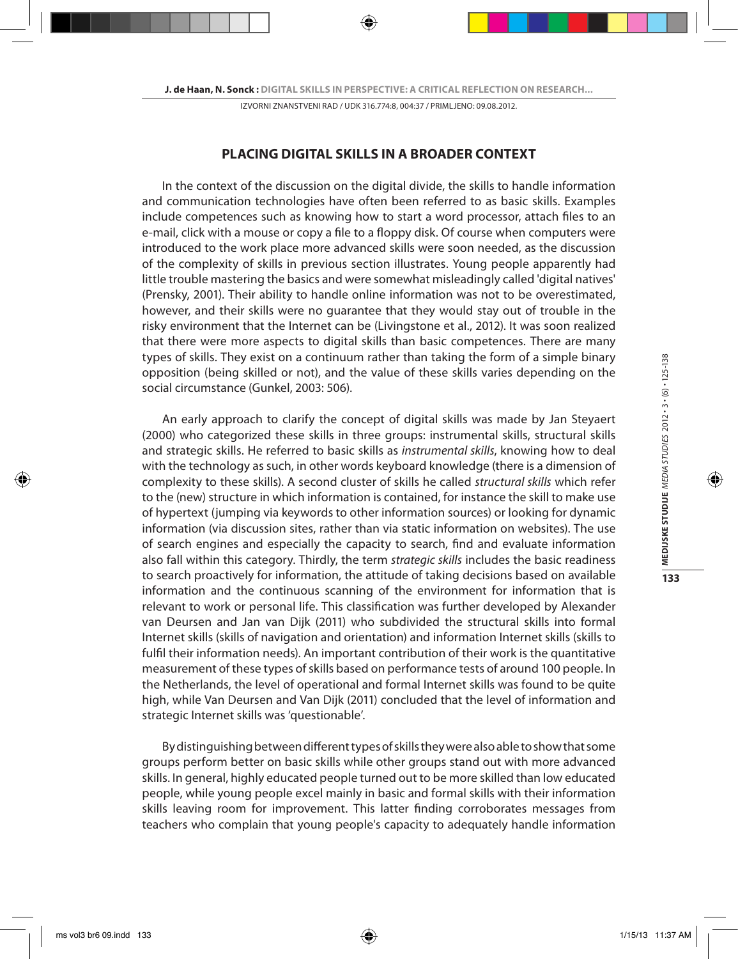### **PLACING DIGITAL SKILLS IN A BROADER CONTEXT**

In the context of the discussion on the digital divide, the skills to handle information and communication technologies have often been referred to as basic skills. Examples include competences such as knowing how to start a word processor, attach files to an e-mail, click with a mouse or copy a file to a floppy disk. Of course when computers were introduced to the work place more advanced skills were soon needed, as the discussion of the complexity of skills in previous section illustrates. Young people apparently had little trouble mastering the basics and were somewhat misleadingly called 'digital natives' (Prensky, 2001). Their ability to handle online information was not to be overestimated, however, and their skills were no guarantee that they would stay out of trouble in the risky environment that the Internet can be (Livingstone et al., 2012). It was soon realized that there were more aspects to digital skills than basic competences. There are many types of skills. They exist on a continuum rather than taking the form of a simple binary opposition (being skilled or not), and the value of these skills varies depending on the social circumstance (Gunkel, 2003: 506).

An early approach to clarify the concept of digital skills was made by Jan Steyaert (2000) who categorized these skills in three groups: instrumental skills, structural skills and strategic skills. He referred to basic skills as *instrumental skills*, knowing how to deal with the technology as such, in other words keyboard knowledge (there is a dimension of complexity to these skills). A second cluster of skills he called *structural skills* which refer to the (new) structure in which information is contained, for instance the skill to make use of hypertext (jumping via keywords to other information sources) or looking for dynamic information (via discussion sites, rather than via static information on websites). The use of search engines and especially the capacity to search, find and evaluate information also fall within this category. Thirdly, the term *strategic skills* includes the basic readiness to search proactively for information, the attitude of taking decisions based on available information and the continuous scanning of the environment for information that is relevant to work or personal life. This classification was further developed by Alexander van Deursen and Jan van Dijk (2011) who subdivided the structural skills into formal Internet skills (skills of navigation and orientation) and information Internet skills (skills to fulfil their information needs). An important contribution of their work is the quantitative measurement of these types of skills based on performance tests of around 100 people. In the Netherlands, the level of operational and formal Internet skills was found to be quite high, while Van Deursen and Van Dijk (2011) concluded that the level of information and strategic Internet skills was 'questionable'.

By distinguishing between different types of skills they were also able to show that some groups perform better on basic skills while other groups stand out with more advanced skills. In general, highly educated people turned out to be more skilled than low educated people, while young people excel mainly in basic and formal skills with their information skills leaving room for improvement. This latter finding corroborates messages from teachers who complain that young people's capacity to adequately handle information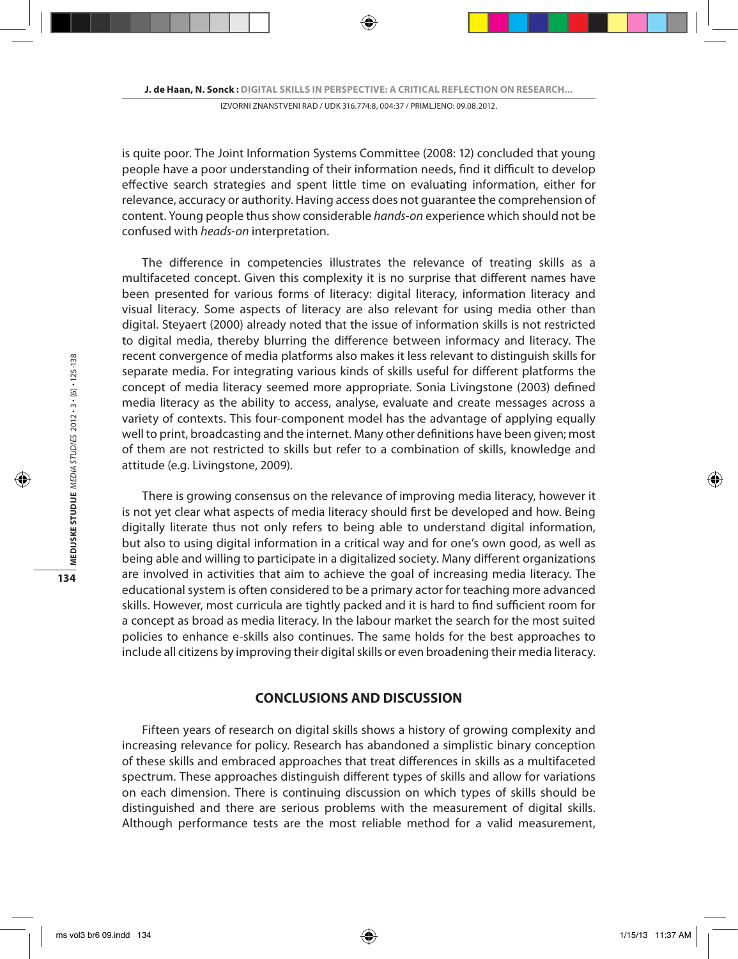is quite poor. The Joint Information Systems Committee (2008: 12) concluded that young people have a poor understanding of their information needs, find it difficult to develop effective search strategies and spent little time on evaluating information, either for relevance, accuracy or authority. Having access does not guarantee the comprehension of content. Young people thus show considerable *hands-on* experience which should not be confused with *heads-on* interpretation.

The difference in competencies illustrates the relevance of treating skills as a multifaceted concept. Given this complexity it is no surprise that different names have been presented for various forms of literacy: digital literacy, information literacy and visual literacy. Some aspects of literacy are also relevant for using media other than digital. Steyaert (2000) already noted that the issue of information skills is not restricted to digital media, thereby blurring the difference between informacy and literacy. The recent convergence of media platforms also makes it less relevant to distinguish skills for separate media. For integrating various kinds of skills useful for different platforms the concept of media literacy seemed more appropriate. Sonia Livingstone (2003) defined media literacy as the ability to access, analyse, evaluate and create messages across a variety of contexts. This four-component model has the advantage of applying equally well to print, broadcasting and the internet. Many other definitions have been given; most of them are not restricted to skills but refer to a combination of skills, knowledge and attitude (e.g. Livingstone, 2009).

There is growing consensus on the relevance of improving media literacy, however it is not yet clear what aspects of media literacy should first be developed and how. Being digitally literate thus not only refers to being able to understand digital information, but also to using digital information in a critical way and for one's own good, as well as being able and willing to participate in a digitalized society. Many different organizations are involved in activities that aim to achieve the goal of increasing media literacy. The educational system is often considered to be a primary actor for teaching more advanced skills. However, most curricula are tightly packed and it is hard to find sufficient room for a concept as broad as media literacy. In the labour market the search for the most suited policies to enhance e-skills also continues. The same holds for the best approaches to include all citizens by improving their digital skills or even broadening their media literacy.

## **CONCLUSIONS AND DISCUSSION**

Fifteen years of research on digital skills shows a history of growing complexity and increasing relevance for policy. Research has abandoned a simplistic binary conception of these skills and embraced approaches that treat differences in skills as a multifaceted spectrum. These approaches distinguish different types of skills and allow for variations on each dimension. There is continuing discussion on which types of skills should be distinguished and there are serious problems with the measurement of digital skills. Although performance tests are the most reliable method for a valid measurement,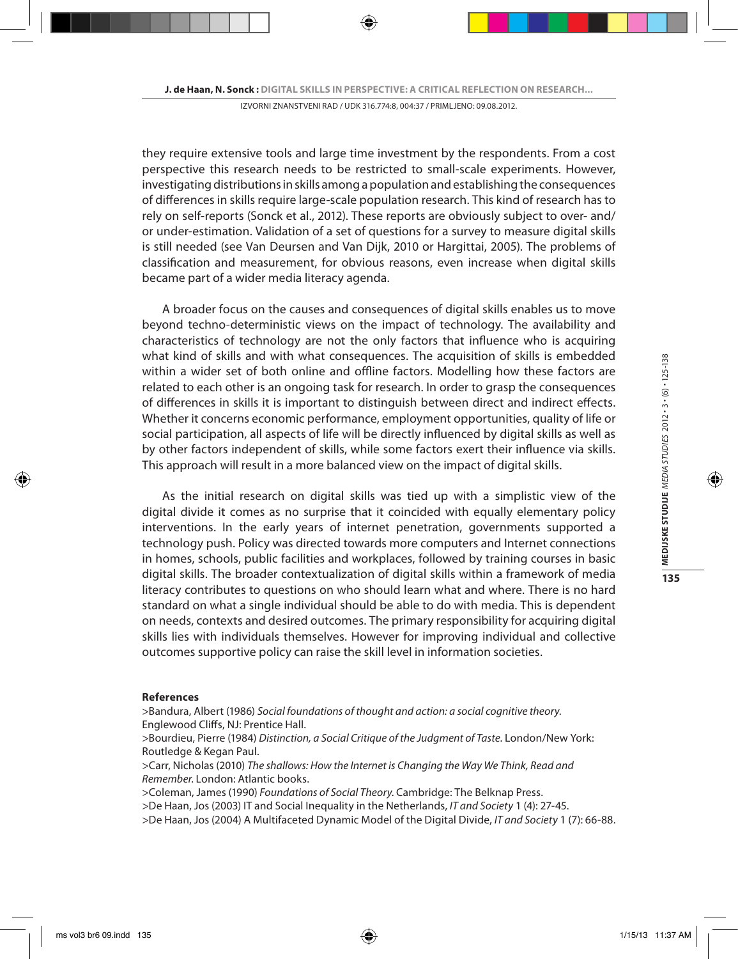they require extensive tools and large time investment by the respondents. From a cost perspective this research needs to be restricted to small-scale experiments. However, investigating distributions in skills among a population and establishing the consequences of differences in skills require large-scale population research. This kind of research has to rely on self-reports (Sonck et al., 2012). These reports are obviously subject to over- and/ or under-estimation. Validation of a set of questions for a survey to measure digital skills is still needed (see Van Deursen and Van Dijk, 2010 or Hargittai, 2005). The problems of classification and measurement, for obvious reasons, even increase when digital skills became part of a wider media literacy agenda.

A broader focus on the causes and consequences of digital skills enables us to move beyond techno-deterministic views on the impact of technology. The availability and characteristics of technology are not the only factors that influence who is acquiring what kind of skills and with what consequences. The acquisition of skills is embedded within a wider set of both online and offline factors. Modelling how these factors are related to each other is an ongoing task for research. In order to grasp the consequences of differences in skills it is important to distinguish between direct and indirect effects. Whether it concerns economic performance, employment opportunities, quality of life or social participation, all aspects of life will be directly influenced by digital skills as well as by other factors independent of skills, while some factors exert their influence via skills. This approach will result in a more balanced view on the impact of digital skills.

As the initial research on digital skills was tied up with a simplistic view of the digital divide it comes as no surprise that it coincided with equally elementary policy interventions. In the early years of internet penetration, governments supported a technology push. Policy was directed towards more computers and Internet connections in homes, schools, public facilities and workplaces, followed by training courses in basic digital skills. The broader contextualization of digital skills within a framework of media literacy contributes to questions on who should learn what and where. There is no hard standard on what a single individual should be able to do with media. This is dependent on needs, contexts and desired outcomes. The primary responsibility for acquiring digital skills lies with individuals themselves. However for improving individual and collective outcomes supportive policy can raise the skill level in information societies.

#### **References**

>Bandura, Albert (1986) *Social foundations of thought and action: a social cognitive theory*. Englewood Cliffs, NJ: Prentice Hall.

>Bourdieu, Pierre (1984) *Distinction, a Social Critique of the Judgment of Taste*. London/New York: Routledge & Kegan Paul.

>Carr, Nicholas (2010) *The shallows: How the Internet is Changing the Way We Think, Read and Remember*. London: Atlantic books.

>Coleman, James (1990) *Foundations of Social Theory*. Cambridge: The Belknap Press.

>De Haan, Jos (2003) IT and Social Inequality in the Netherlands, *IT and Society* 1 (4): 27-45.

>De Haan, Jos (2004) A Multifaceted Dynamic Model of the Digital Divide, *IT and Society* 1 (7): 66-88.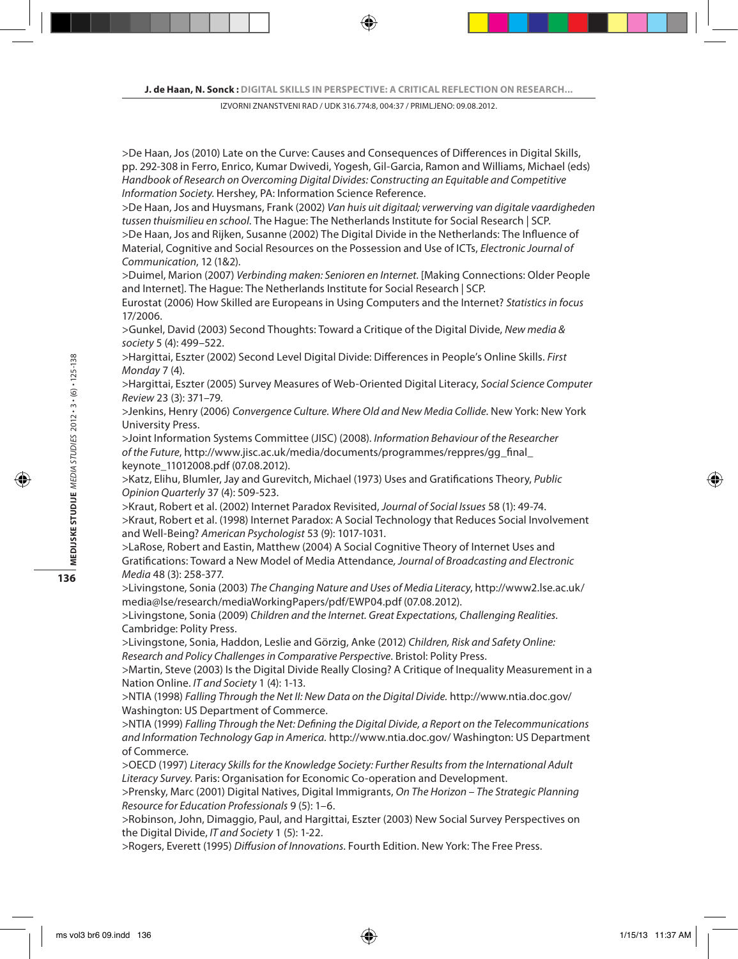>De Haan, Jos (2010) Late on the Curve: Causes and Consequences of Differences in Digital Skills, pp. 292-308 in Ferro, Enrico, Kumar Dwivedi, Yogesh, Gil-Garcia, Ramon and Williams, Michael (eds) *Handbook of Research on Overcoming Digital Divides: Constructing an Equitable and Competitive Information Society*. Hershey, PA: Information Science Reference.

>De Haan, Jos and Huysmans, Frank (2002) *Van huis uit digitaal; verwerving van digitale vaardigheden tussen thuismilieu en school*. The Hague: The Netherlands Institute for Social Research | SCP. >De Haan, Jos and Rijken, Susanne (2002) The Digital Divide in the Netherlands: The Influence of Material, Cognitive and Social Resources on the Possession and Use of ICTs, *Electronic Journal of Communication*, 12 (1&2).

>Duimel, Marion (2007) *Verbinding maken: Senioren en Internet.* [Making Connections: Older People and Internet]. The Hague: The Netherlands Institute for Social Research | SCP.

Eurostat (2006) How Skilled are Europeans in Using Computers and the Internet? *Statistics in focus*  17/2006.

>Gunkel, David (2003) Second Thoughts: Toward a Critique of the Digital Divide, *New media & society* 5 (4): 499–522.

>Hargittai, Eszter (2002) Second Level Digital Divide: Differences in People's Online Skills. *First Monday* 7 (4).

>Hargittai, Eszter (2005) Survey Measures of Web-Oriented Digital Literacy, *Social Science Computer Review* 23 (3): 371–79.

>Jenkins, Henry (2006) *Convergence Culture. Where Old and New Media Collide*. New York: New York University Press.

>Joint Information Systems Committee (JISC) (2008). *Information Behaviour of the Researcher of the Future*, http://www.jisc.ac.uk/media/documents/programmes/reppres/gg\_final\_ keynote\_11012008.pdf (07.08.2012).

>Katz, Elihu, Blumler, Jay and Gurevitch, Michael (1973) Uses and Gratifications Theory, *Public Opinion Quarterly* 37 (4): 509-523.

>Kraut, Robert et al. (2002) Internet Paradox Revisited, *Journal of Social Issues* 58 (1): 49-74. >Kraut, Robert et al. (1998) Internet Paradox: A Social Technology that Reduces Social Involvement and Well-Being? *American Psychologist* 53 (9): 1017-1031.

>LaRose, Robert and Eastin, Matthew (2004) A Social Cognitive Theory of Internet Uses and Gratifications: Toward a New Model of Media Attendance*, Journal of Broadcasting and Electronic Media* 48 (3): 258-377.

>Livingstone, Sonia (2003) *The Changing Nature and Uses of Media Literacy*, http://www2.lse.ac.uk/ media@lse/research/mediaWorkingPapers/pdf/EWP04.pdf (07.08.2012).

>Livingstone, Sonia (2009) *Children and the Internet. Great Expectations, Challenging Realities.*  Cambridge: Polity Press.

>Livingstone, Sonia, Haddon, Leslie and Görzig, Anke (2012) *Children, Risk and Safety Online: Research and Policy Challenges in Comparative Perspective*. Bristol: Polity Press.

>Martin, Steve (2003) Is the Digital Divide Really Closing? A Critique of Inequality Measurement in a Nation Online. *IT and Society* 1 (4): 1-13.

>NTIA (1998) *Falling Through the Net II: New Data on the Digital Divide.* http://www.ntia.doc.gov/ Washington: US Department of Commerce.

>NTIA (1999) *Falling Through the Net: Defining the Digital Divide, a Report on the Telecommunications and Information Technology Gap in America.* http://www.ntia.doc.gov/ Washington: US Department of Commerce.

>OECD (1997) *Literacy Skills for the Knowledge Society: Further Results from the International Adult Literacy Survey*. Paris: Organisation for Economic Co-operation and Development.

>Prensky, Marc (2001) Digital Natives, Digital Immigrants, *On The Horizon – The Strategic Planning Resource for Education Professionals* 9 (5): 1–6.

>Robinson, John, Dimaggio, Paul, and Hargittai, Eszter (2003) New Social Survey Perspectives on the Digital Divide, *IT and Society* 1 (5): 1-22.

>Rogers, Everett (1995) *Diffusion of Innovations*. Fourth Edition. New York: The Free Press.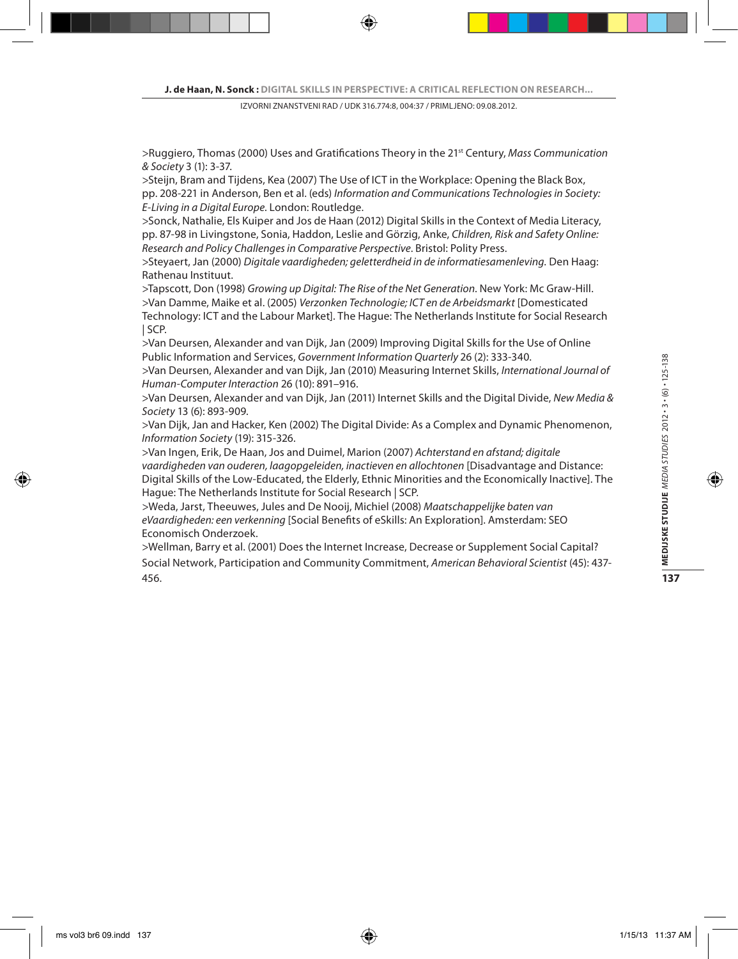>Ruggiero, Thomas (2000) Uses and Gratifications Theory in the 21st Century, *Mass Communication & Society* 3 (1): 3-37.

>Steijn, Bram and Tijdens, Kea (2007) The Use of ICT in the Workplace: Opening the Black Box, pp. 208-221 in Anderson, Ben et al. (eds) *Information and Communications Technologies in Society: E-Living in a Digital Europe*. London: Routledge.

>Sonck, Nathalie, Els Kuiper and Jos de Haan (2012) Digital Skills in the Context of Media Literacy, pp. 87-98 in Livingstone, Sonia, Haddon, Leslie and Görzig, Anke, *Children, Risk and Safety Online: Research and Policy Challenges in Comparative Perspective*. Bristol: Polity Press.

>Steyaert, Jan (2000) *Digitale vaardigheden; geletterdheid in de informatiesamenleving.* Den Haag: Rathenau Instituut.

>Tapscott, Don (1998) *Growing up Digital: The Rise of the Net Generation*. New York: Mc Graw-Hill. >Van Damme, Maike et al. (2005) *Verzonken Technologie; ICT en de Arbeidsmarkt* [Domesticated Technology: ICT and the Labour Market]. The Hague: The Netherlands Institute for Social Research | SCP.

>Van Deursen, Alexander and van Dijk, Jan (2009) Improving Digital Skills for the Use of Online Public Information and Services, *Government Information Quarterly* 26 (2): 333-340.

>Van Deursen, Alexander and van Dijk, Jan (2010) Measuring Internet Skills, *International Journal of Human-Computer Interaction* 26 (10): 891–916.

>Van Deursen, Alexander and van Dijk, Jan (2011) Internet Skills and the Digital Divide, *New Media & Society* 13 (6): 893-909.

>Van Dijk, Jan and Hacker, Ken (2002) The Digital Divide: As a Complex and Dynamic Phenomenon, *Information Society* (19): 315-326.

>Van Ingen, Erik, De Haan, Jos and Duimel, Marion (2007) *Achterstand en afstand; digitale vaardigheden van ouderen, laagopgeleiden, inactieven en allochtonen* [Disadvantage and Distance: Digital Skills of the Low-Educated, the Elderly, Ethnic Minorities and the Economically Inactive]. The Hague: The Netherlands Institute for Social Research | SCP.

>Weda, Jarst, Theeuwes, Jules and De Nooij, Michiel (2008) *Maatschappelijke baten van eVaardigheden: een verkenning* [Social Benefits of eSkills: An Exploration]. Amsterdam: SEO Economisch Onderzoek.

>Wellman, Barry et al. (2001) Does the Internet Increase, Decrease or Supplement Social Capital? Social Network, Participation and Community Commitment, *American Behavioral Scientist* (45): 437- 456.